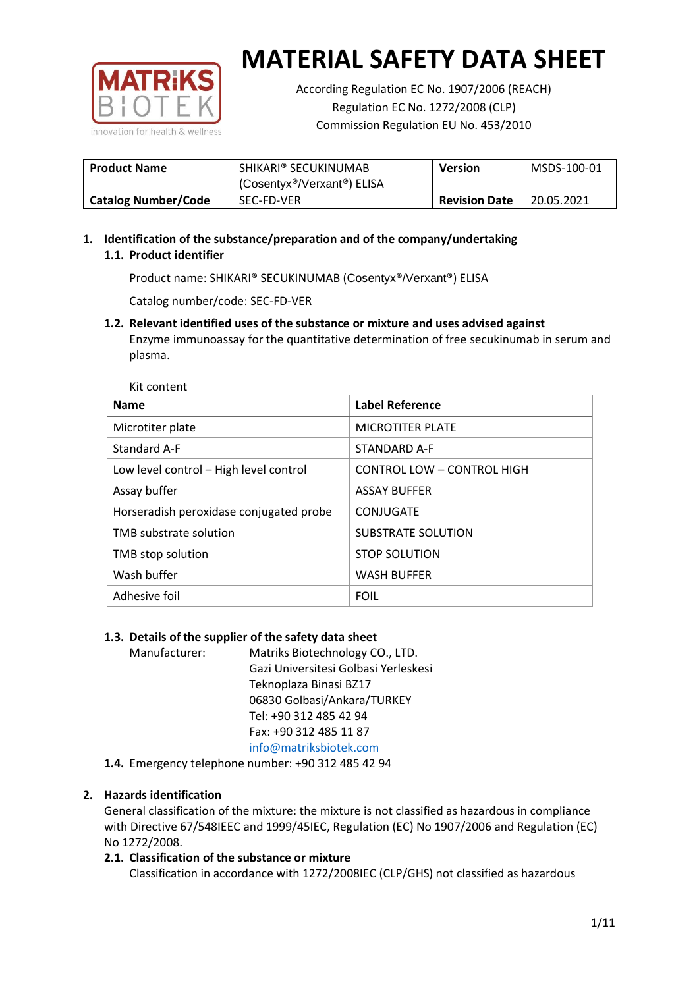

According Regulation EC No. 1907/2006 (REACH) Regulation EC No. 1272/2008 (CLP) Commission Regulation EU No. 453/2010

| <b>Product Name</b>        | SHIKARI® SECUKINUMAB<br>(Cosentyx <sup>®</sup> /Verxant <sup>®</sup> ) ELISA | Version              | MSDS-100-01 |
|----------------------------|------------------------------------------------------------------------------|----------------------|-------------|
| <b>Catalog Number/Code</b> | SEC-FD-VER                                                                   | <b>Revision Date</b> | 20.05.2021  |

## **1. Identification of the substance/preparation and of the company/undertaking 1.1. Product identifier**

Product name: SHIKARI® SECUKINUMAB (Cosentyx®/Verxant®) ELISA

Catalog number/code: SEC-FD-VER

**1.2. Relevant identified uses of the substance or mixture and uses advised against** Enzyme immunoassay for the quantitative determination of free secukinumab in serum and

plasma.

 $V_{\text{th}}$  content

| <b>Name</b>                             | <b>Label Reference</b>            |
|-----------------------------------------|-----------------------------------|
| Microtiter plate                        | <b>MICROTITER PLATE</b>           |
| Standard A-F                            | STANDARD A-F                      |
| Low level control - High level control  | <b>CONTROL LOW - CONTROL HIGH</b> |
| Assay buffer                            | <b>ASSAY BUFFER</b>               |
| Horseradish peroxidase conjugated probe | CONJUGATE                         |
| TMB substrate solution                  | SUBSTRATE SOLUTION                |
| TMB stop solution                       | <b>STOP SOLUTION</b>              |
| Wash buffer                             | <b>WASH BUFFER</b>                |
| Adhesive foil                           | <b>FOIL</b>                       |

## **1.3. Details of the supplier of the safety data sheet**

| Manufacturer: | Matriks Biotechnology CO., LTD.      |
|---------------|--------------------------------------|
|               | Gazi Universitesi Golbasi Yerleskesi |
|               | Teknoplaza Binasi BZ17               |
|               | 06830 Golbasi/Ankara/TURKEY          |
|               | Tel: +90 312 485 42 94               |
|               | Fax: +90 312 485 11 87               |
|               | info@matriksbiotek.com               |
|               |                                      |

**1.4.** Emergency telephone number: +90 312 485 42 94

## **2. Hazards identification**

General classification of the mixture: the mixture is not classified as hazardous in compliance with Directive 67/548IEEC and 1999/45IEC, Regulation (EC) No 1907/2006 and Regulation (EC) No 1272/2008.

## **2.1. Classification of the substance or mixture**

Classification in accordance with 1272/2008IEC (CLP/GHS) not classified as hazardous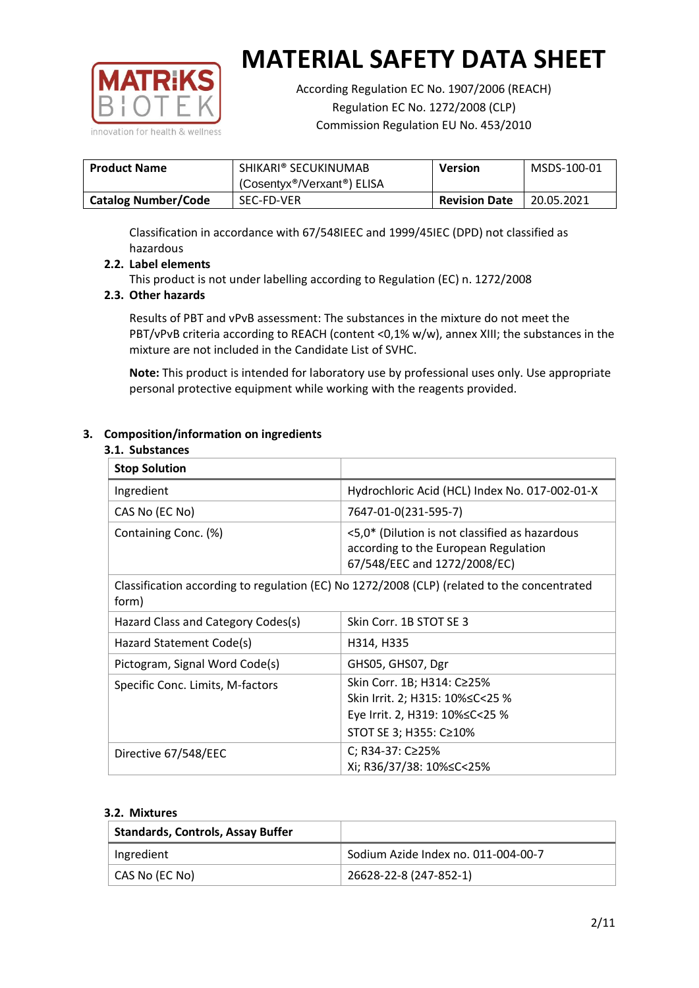

According Regulation EC No. 1907/2006 (REACH) Regulation EC No. 1272/2008 (CLP) Commission Regulation EU No. 453/2010

| <b>Product Name</b>        | SHIKARI® SECUKINUMAB<br>(Cosentyx®/Verxant®) ELISA | <b>Version</b>       | MSDS-100-01 |
|----------------------------|----------------------------------------------------|----------------------|-------------|
| <b>Catalog Number/Code</b> | SEC-FD-VER                                         | <b>Revision Date</b> | 20.05.2021  |

Classification in accordance with 67/548IEEC and 1999/45IEC (DPD) not classified as hazardous

## **2.2. Label elements**

This product is not under labelling according to Regulation (EC) n. 1272/2008

### **2.3. Other hazards**

Results of PBT and vPvB assessment: The substances in the mixture do not meet the PBT/vPvB criteria according to REACH (content <0,1% w/w), annex XIII; the substances in the mixture are not included in the Candidate List of SVHC.

**Note:** This product is intended for laboratory use by professional uses only. Use appropriate personal protective equipment while working with the reagents provided.

### **3. Composition/information on ingredients**

#### **3.1. Substances**

| <b>Stop Solution</b>               |                                                                                                                           |
|------------------------------------|---------------------------------------------------------------------------------------------------------------------------|
| Ingredient                         | Hydrochloric Acid (HCL) Index No. 017-002-01-X                                                                            |
| CAS No (EC No)                     | 7647-01-0(231-595-7)                                                                                                      |
| Containing Conc. (%)               | <5,0* (Dilution is not classified as hazardous<br>according to the European Regulation<br>67/548/EEC and 1272/2008/EC)    |
| form)                              | Classification according to regulation (EC) No 1272/2008 (CLP) (related to the concentrated                               |
| Hazard Class and Category Codes(s) | Skin Corr. 1B STOT SE 3                                                                                                   |
| Hazard Statement Code(s)           | H314, H335                                                                                                                |
| Pictogram, Signal Word Code(s)     | GHS05, GHS07, Dgr                                                                                                         |
| Specific Conc. Limits, M-factors   | Skin Corr. 1B; H314: C≥25%<br>Skin Irrit. 2; H315: 10%≤C<25 %<br>Eye Irrit. 2, H319: 10%≤C<25 %<br>STOT SE 3; H355: C≥10% |
| Directive 67/548/EEC               | C; R34-37: C≥25%<br>Xi; R36/37/38: 10%≤C<25%                                                                              |

#### **3.2. Mixtures**

| <b>Standards, Controls, Assay Buffer</b> |                                     |
|------------------------------------------|-------------------------------------|
| Ingredient                               | Sodium Azide Index no. 011-004-00-7 |
| CAS No (EC No)                           | 26628-22-8 (247-852-1)              |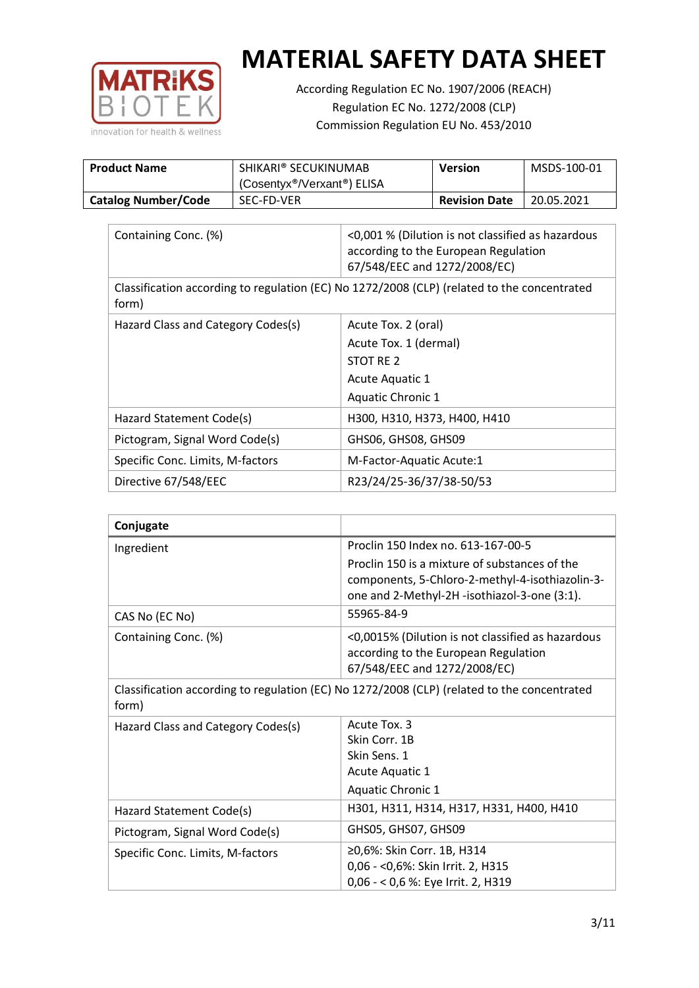

According Regulation EC No. 1907/2006 (REACH) Regulation EC No. 1272/2008 (CLP) Commission Regulation EU No. 453/2010

| <b>Product Name</b>        | SHIKARI® SECUKINUMAB<br>(Cosentyx®/Verxant®) ELISA | Version              | MSDS-100-01 |
|----------------------------|----------------------------------------------------|----------------------|-------------|
| <b>Catalog Number/Code</b> | SEC-FD-VER                                         | <b>Revision Date</b> | 20.05.2021  |

| Containing Conc. (%)                                                                                 | <0,001 % (Dilution is not classified as hazardous<br>according to the European Regulation<br>67/548/EEC and 1272/2008/EC) |
|------------------------------------------------------------------------------------------------------|---------------------------------------------------------------------------------------------------------------------------|
| Classification according to regulation (EC) No 1272/2008 (CLP) (related to the concentrated<br>form) |                                                                                                                           |
| Hazard Class and Category Codes(s)                                                                   | Acute Tox. 2 (oral)                                                                                                       |
|                                                                                                      | Acute Tox. 1 (dermal)                                                                                                     |
|                                                                                                      | STOT RE 2                                                                                                                 |
|                                                                                                      | Acute Aquatic 1                                                                                                           |
|                                                                                                      | Aquatic Chronic 1                                                                                                         |
| Hazard Statement Code(s)                                                                             | H300, H310, H373, H400, H410                                                                                              |
| Pictogram, Signal Word Code(s)                                                                       | GHS06, GHS08, GHS09                                                                                                       |
| Specific Conc. Limits, M-factors                                                                     | M-Factor-Aquatic Acute:1                                                                                                  |
| Directive 67/548/EEC                                                                                 | R23/24/25-36/37/38-50/53                                                                                                  |

| Conjugate                                                                                                                                         |                                                                                                                                                  |
|---------------------------------------------------------------------------------------------------------------------------------------------------|--------------------------------------------------------------------------------------------------------------------------------------------------|
| Ingredient                                                                                                                                        | Proclin 150 Index no. 613-167-00-5                                                                                                               |
|                                                                                                                                                   | Proclin 150 is a mixture of substances of the<br>components, 5-Chloro-2-methyl-4-isothiazolin-3-<br>one and 2-Methyl-2H -isothiazol-3-one (3:1). |
| CAS No (EC No)                                                                                                                                    | 55965-84-9                                                                                                                                       |
| Containing Conc. (%)<br><0,0015% (Dilution is not classified as hazardous<br>according to the European Regulation<br>67/548/EEC and 1272/2008/EC) |                                                                                                                                                  |
| form)                                                                                                                                             | Classification according to regulation (EC) No 1272/2008 (CLP) (related to the concentrated                                                      |
| Hazard Class and Category Codes(s)                                                                                                                | Acute Tox. 3                                                                                                                                     |
|                                                                                                                                                   | Skin Corr. 1B                                                                                                                                    |
|                                                                                                                                                   | Skin Sens. 1                                                                                                                                     |
|                                                                                                                                                   | Acute Aquatic 1                                                                                                                                  |
|                                                                                                                                                   | Aquatic Chronic 1                                                                                                                                |
| Hazard Statement Code(s)                                                                                                                          | H301, H311, H314, H317, H331, H400, H410                                                                                                         |
| Pictogram, Signal Word Code(s)                                                                                                                    | GHS05, GHS07, GHS09                                                                                                                              |
| Specific Conc. Limits, M-factors                                                                                                                  | ≥0,6%: Skin Corr. 1B, H314                                                                                                                       |
|                                                                                                                                                   | 0,06 - < 0,6%: Skin Irrit. 2, H315                                                                                                               |
|                                                                                                                                                   | 0,06 - < 0,6 %: Eye Irrit. 2, H319                                                                                                               |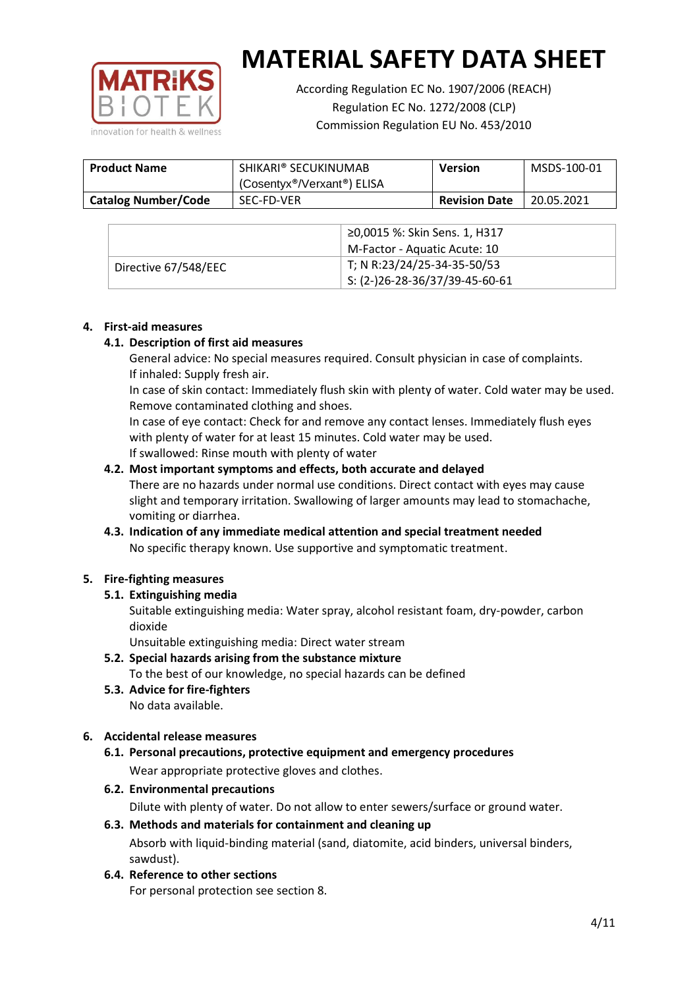

According Regulation EC No. 1907/2006 (REACH) Regulation EC No. 1272/2008 (CLP) Commission Regulation EU No. 453/2010

| <b>Product Name</b>        | SHIKARI® SECUKINUMAB<br>(Cosentyx®/Verxant®) ELISA | <b>Version</b>       | MSDS-100-01 |
|----------------------------|----------------------------------------------------|----------------------|-------------|
| <b>Catalog Number/Code</b> | SEC-FD-VER                                         | <b>Revision Date</b> | 20.05.2021  |

|                      | ≥0,0015 %: Skin Sens. 1, H317                |
|----------------------|----------------------------------------------|
|                      | M-Factor - Aquatic Acute: 10                 |
| Directive 67/548/EEC | T; N R:23/24/25-34-35-50/53                  |
|                      | $\frac{1}{2}$ S: (2-)26-28-36/37/39-45-60-61 |

### **4. First-aid measures**

## **4.1. Description of first aid measures**

General advice: No special measures required. Consult physician in case of complaints. If inhaled: Supply fresh air.

In case of skin contact: Immediately flush skin with plenty of water. Cold water may be used. Remove contaminated clothing and shoes.

In case of eye contact: Check for and remove any contact lenses. Immediately flush eyes with plenty of water for at least 15 minutes. Cold water may be used. If swallowed: Rinse mouth with plenty of water

### **4.2. Most important symptoms and effects, both accurate and delayed**

There are no hazards under normal use conditions. Direct contact with eyes may cause slight and temporary irritation. Swallowing of larger amounts may lead to stomachache, vomiting or diarrhea.

## **4.3. Indication of any immediate medical attention and special treatment needed** No specific therapy known. Use supportive and symptomatic treatment.

## **5. Fire-fighting measures**

## **5.1. Extinguishing media**

Suitable extinguishing media: Water spray, alcohol resistant foam, dry-powder, carbon dioxide

Unsuitable extinguishing media: Direct water stream

- **5.2. Special hazards arising from the substance mixture** To the best of our knowledge, no special hazards can be defined
- **5.3. Advice for fire-fighters** No data available.

## **6. Accidental release measures**

- **6.1. Personal precautions, protective equipment and emergency procedures** Wear appropriate protective gloves and clothes.
- **6.2. Environmental precautions**

Dilute with plenty of water. Do not allow to enter sewers/surface or ground water.

## **6.3. Methods and materials for containment and cleaning up** Absorb with liquid-binding material (sand, diatomite, acid binders, universal binders,

- sawdust).
- **6.4. Reference to other sections**

For personal protection see section 8.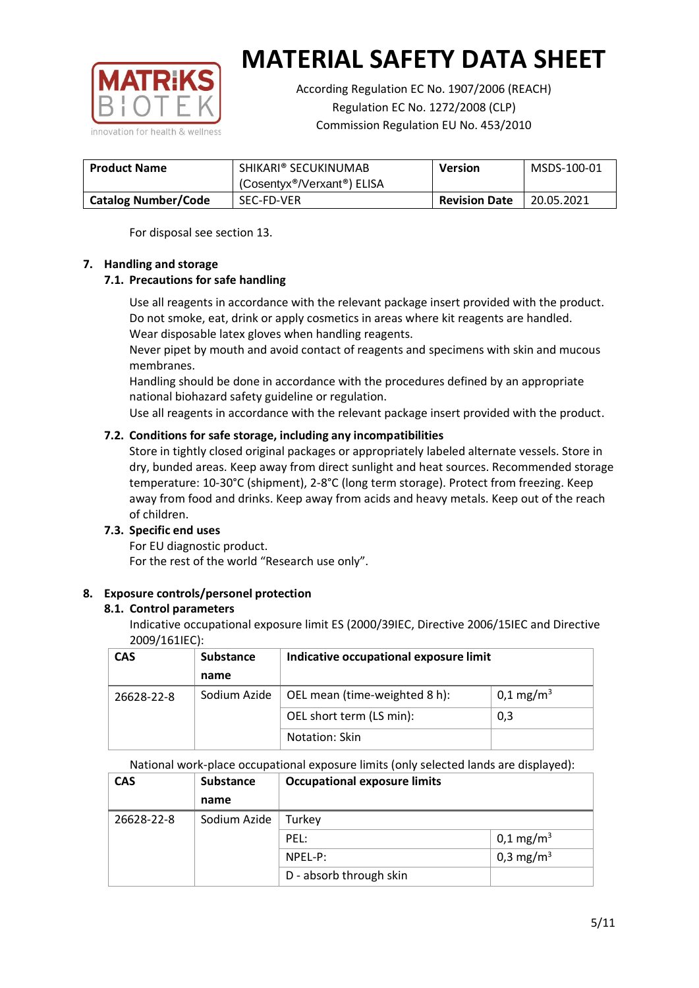

According Regulation EC No. 1907/2006 (REACH) Regulation EC No. 1272/2008 (CLP) Commission Regulation EU No. 453/2010

| <b>Product Name</b>        | SHIKARI® SECUKINUMAB<br><b>Version</b>               |                      | MSDS-100-01 |
|----------------------------|------------------------------------------------------|----------------------|-------------|
|                            | (Cosentyx <sup>®</sup> /Verxant <sup>®</sup> ) ELISA |                      |             |
| <b>Catalog Number/Code</b> | SEC-FD-VER                                           | <b>Revision Date</b> | 20.05.2021  |

For disposal see section 13.

### **7. Handling and storage**

## **7.1. Precautions for safe handling**

Use all reagents in accordance with the relevant package insert provided with the product. Do not smoke, eat, drink or apply cosmetics in areas where kit reagents are handled. Wear disposable latex gloves when handling reagents.

Never pipet by mouth and avoid contact of reagents and specimens with skin and mucous membranes.

Handling should be done in accordance with the procedures defined by an appropriate national biohazard safety guideline or regulation.

Use all reagents in accordance with the relevant package insert provided with the product.

## **7.2. Conditions for safe storage, including any incompatibilities**

Store in tightly closed original packages or appropriately labeled alternate vessels. Store in dry, bunded areas. Keep away from direct sunlight and heat sources. Recommended storage temperature: 10-30°C (shipment), 2-8°C (long term storage). Protect from freezing. Keep away from food and drinks. Keep away from acids and heavy metals. Keep out of the reach of children.

#### **7.3. Specific end uses**

For EU diagnostic product. For the rest of the world "Research use only".

## **8. Exposure controls/personel protection**

#### **8.1. Control parameters**

Indicative occupational exposure limit ES (2000/39IEC, Directive 2006/15IEC and Directive 2009/161IEC):

| <b>CAS</b> | <b>Substance</b> | Indicative occupational exposure limit |                       |
|------------|------------------|----------------------------------------|-----------------------|
|            | name             |                                        |                       |
| 26628-22-8 | Sodium Azide     | OEL mean (time-weighted 8 h):          | 0,1 mg/m <sup>3</sup> |
|            |                  | OEL short term (LS min):               | 0,3                   |
|            |                  | Notation: Skin                         |                       |

National work-place occupational exposure limits (only selected lands are displayed):

| <b>CAS</b> | Substance    | <b>Occupational exposure limits</b> |                         |
|------------|--------------|-------------------------------------|-------------------------|
|            | name         |                                     |                         |
| 26628-22-8 | Sodium Azide | Turkey                              |                         |
|            |              | PEL:                                | $0,1 \,\mathrm{mg/m^3}$ |
|            |              | NPEL-P:                             | 0,3 mg/m <sup>3</sup>   |
|            |              | D - absorb through skin             |                         |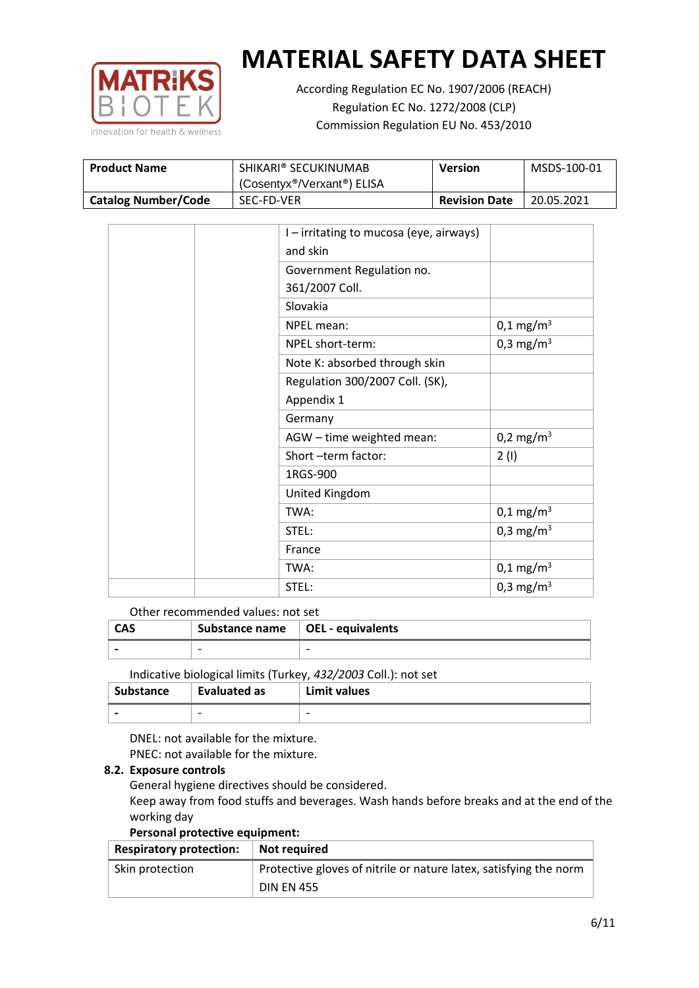

According Regulation EC No. 1907/2006 (REACH) Regulation EC No. 1272/2008 (CLP) Commission Regulation EU No. 453/2010

| <b>Product Name</b>        | SHIKARI® SECUKINUMAB                                 | Version              | MSDS-100-01 |
|----------------------------|------------------------------------------------------|----------------------|-------------|
|                            | (Cosentyx <sup>®</sup> /Verxant <sup>®</sup> ) ELISA |                      |             |
| <b>Catalog Number/Code</b> | SEC-FD-VER                                           | <b>Revision Date</b> | 20.05.2021  |

|  | I - irritating to mucosa (eye, airways) |                         |
|--|-----------------------------------------|-------------------------|
|  | and skin                                |                         |
|  | Government Regulation no.               |                         |
|  | 361/2007 Coll.                          |                         |
|  | Slovakia                                |                         |
|  | NPEL mean:                              | $0,1 \,\mathrm{mg/m^3}$ |
|  | NPEL short-term:                        | 0,3 mg/m <sup>3</sup>   |
|  | Note K: absorbed through skin           |                         |
|  | Regulation 300/2007 Coll. (SK),         |                         |
|  | Appendix 1                              |                         |
|  | Germany                                 |                         |
|  | AGW - time weighted mean:               | 0,2 mg/m <sup>3</sup>   |
|  | Short-term factor:                      | 2(1)                    |
|  | 1RGS-900                                |                         |
|  | United Kingdom                          |                         |
|  | TWA:                                    | $0,1 \,\mathrm{mg/m^3}$ |
|  | STEL:                                   | 0,3 mg/m <sup>3</sup>   |
|  | France                                  |                         |
|  | TWA:                                    | $0,1 \text{ mg/m}^3$    |
|  | STEL:                                   | 0,3 mg/m <sup>3</sup>   |

### Other recommended values: not set

| CAS | Substance name $\vert$ OEL - equivalents |   |
|-----|------------------------------------------|---|
|     | $\overline{\phantom{0}}$                 | - |
|     |                                          |   |

Indicative biological limits (Turkey, *432/2003* Coll.): not set

| Substance                | <b>Evaluated as</b>      | Limit values |
|--------------------------|--------------------------|--------------|
| $\overline{\phantom{0}}$ | $\overline{\phantom{0}}$ | -            |

DNEL: not available for the mixture. PNEC: not available for the mixture.

## **8.2. Exposure controls**

General hygiene directives should be considered.

Keep away from food stuffs and beverages. Wash hands before breaks and at the end of the working day

#### **Personal protective equipment:**

| <b>Respiratory protection:</b> | Not required                                                      |
|--------------------------------|-------------------------------------------------------------------|
| Skin protection                | Protective gloves of nitrile or nature latex, satisfying the norm |
|                                | <b>DIN EN 455</b>                                                 |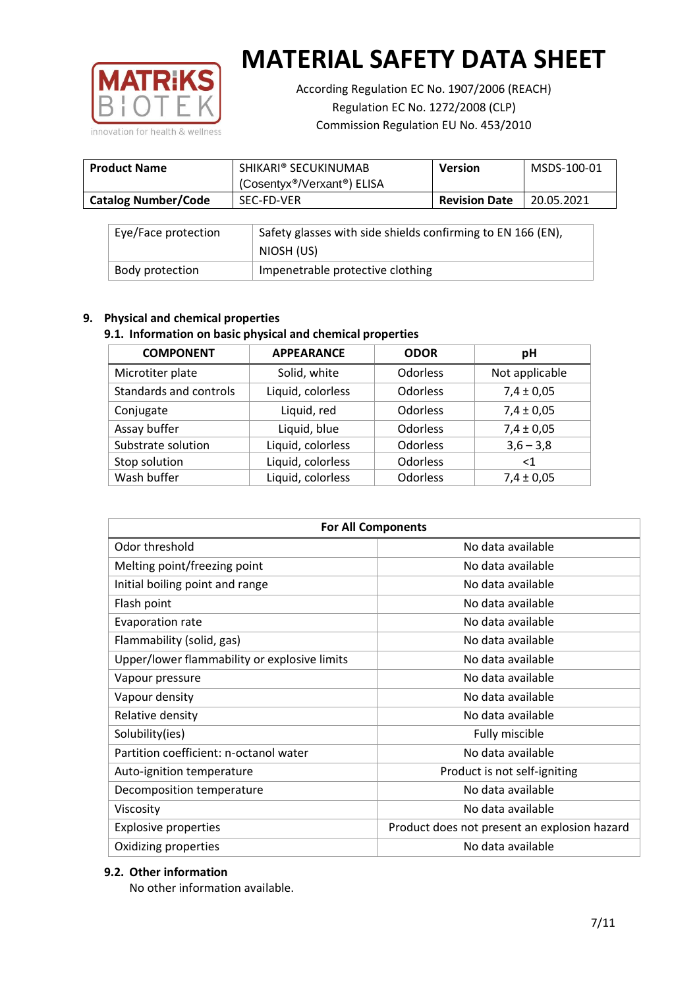

According Regulation EC No. 1907/2006 (REACH) Regulation EC No. 1272/2008 (CLP) Commission Regulation EU No. 453/2010

| <b>Product Name</b>        | SHIKARI® SECUKINUMAB<br>(Cosentyx®/Verxant®) ELISA | Version              | MSDS-100-01 |
|----------------------------|----------------------------------------------------|----------------------|-------------|
| <b>Catalog Number/Code</b> | SEC-FD-VER                                         | <b>Revision Date</b> | 20.05.2021  |

| Eye/Face protection | Safety glasses with side shields confirming to EN 166 (EN),<br>NIOSH (US) |
|---------------------|---------------------------------------------------------------------------|
| Body protection     | Impenetrable protective clothing                                          |

## **9. Physical and chemical properties**

## **9.1. Information on basic physical and chemical properties**

| <b>COMPONENT</b>       | <b>APPEARANCE</b> | <b>ODOR</b> | рH             |
|------------------------|-------------------|-------------|----------------|
| Microtiter plate       | Solid, white      | Odorless    | Not applicable |
| Standards and controls | Liquid, colorless | Odorless    | $7,4 \pm 0,05$ |
| Conjugate              | Liquid, red       | Odorless    | $7,4 \pm 0,05$ |
| Assay buffer           | Liquid, blue      | Odorless    | $7,4 \pm 0,05$ |
| Substrate solution     | Liquid, colorless | Odorless    | $3,6 - 3,8$    |
| Stop solution          | Liquid, colorless | Odorless    | ${<}1$         |
| Wash buffer            | Liquid, colorless | Odorless    | $7,4 \pm 0,05$ |

| <b>For All Components</b>                    |                                              |  |  |
|----------------------------------------------|----------------------------------------------|--|--|
| Odor threshold                               | No data available                            |  |  |
| Melting point/freezing point                 | No data available                            |  |  |
| Initial boiling point and range              | No data available                            |  |  |
| Flash point                                  | No data available                            |  |  |
| Evaporation rate                             | No data available                            |  |  |
| Flammability (solid, gas)                    | No data available                            |  |  |
| Upper/lower flammability or explosive limits | No data available                            |  |  |
| Vapour pressure                              | No data available                            |  |  |
| Vapour density                               | No data available                            |  |  |
| Relative density                             | No data available                            |  |  |
| Solubility(ies)<br>Fully miscible            |                                              |  |  |
| Partition coefficient: n-octanol water       | No data available                            |  |  |
| Auto-ignition temperature                    | Product is not self-igniting                 |  |  |
| Decomposition temperature                    | No data available                            |  |  |
| Viscosity                                    | No data available                            |  |  |
| <b>Explosive properties</b>                  | Product does not present an explosion hazard |  |  |
| Oxidizing properties                         | No data available                            |  |  |

## **9.2. Other information**

No other information available.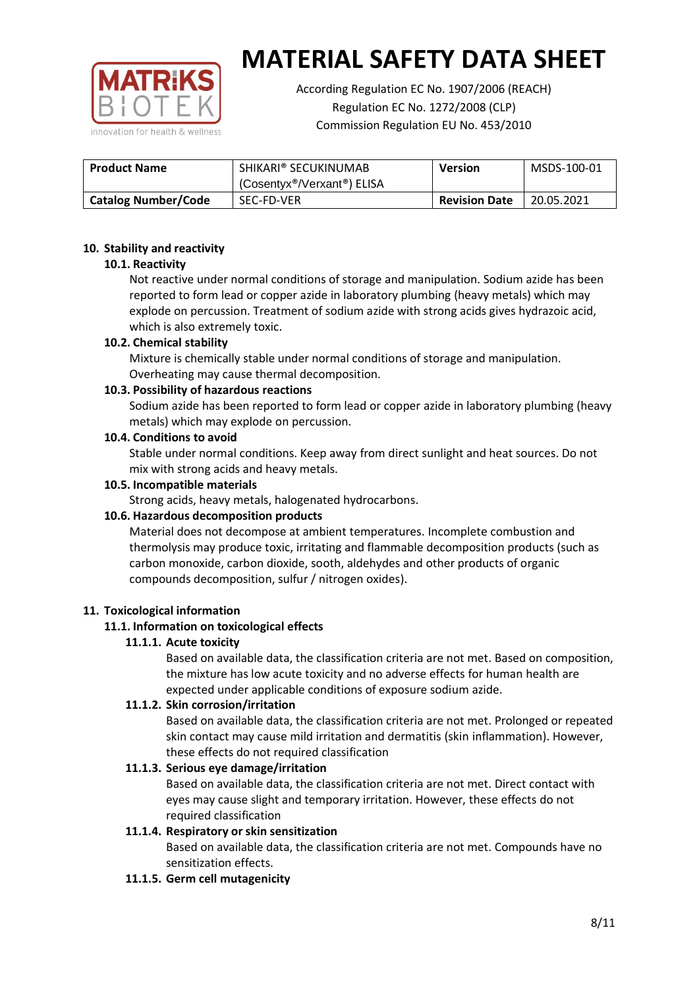

According Regulation EC No. 1907/2006 (REACH) Regulation EC No. 1272/2008 (CLP) Commission Regulation EU No. 453/2010

| <b>Product Name</b>        | SHIKARI® SECUKINUMAB<br>(Cosentyx®/Verxant®) ELISA | Version              | MSDS-100-01 |
|----------------------------|----------------------------------------------------|----------------------|-------------|
| <b>Catalog Number/Code</b> | SEC-FD-VER                                         | <b>Revision Date</b> | 20.05.2021  |

### **10. Stability and reactivity**

### **10.1. Reactivity**

Not reactive under normal conditions of storage and manipulation. Sodium azide has been reported to form lead or copper azide in laboratory plumbing (heavy metals) which may explode on percussion. Treatment of sodium azide with strong acids gives hydrazoic acid, which is also extremely toxic.

### **10.2. Chemical stability**

Mixture is chemically stable under normal conditions of storage and manipulation. Overheating may cause thermal decomposition.

### **10.3. Possibility of hazardous reactions**

Sodium azide has been reported to form lead or copper azide in laboratory plumbing (heavy metals) which may explode on percussion.

#### **10.4. Conditions to avoid**

Stable under normal conditions. Keep away from direct sunlight and heat sources. Do not mix with strong acids and heavy metals.

#### **10.5. Incompatible materials**

Strong acids, heavy metals, halogenated hydrocarbons.

## **10.6. Hazardous decomposition products**

Material does not decompose at ambient temperatures. Incomplete combustion and thermolysis may produce toxic, irritating and flammable decomposition products (such as carbon monoxide, carbon dioxide, sooth, aldehydes and other products of organic compounds decomposition, sulfur / nitrogen oxides).

#### **11. Toxicological information**

## **11.1. Information on toxicological effects**

#### **11.1.1. Acute toxicity**

Based on available data, the classification criteria are not met. Based on composition, the mixture has low acute toxicity and no adverse effects for human health are expected under applicable conditions of exposure sodium azide.

## **11.1.2. Skin corrosion/irritation**

Based on available data, the classification criteria are not met. Prolonged or repeated skin contact may cause mild irritation and dermatitis (skin inflammation). However, these effects do not required classification

## **11.1.3. Serious eye damage/irritation**

Based on available data, the classification criteria are not met. Direct contact with eyes may cause slight and temporary irritation. However, these effects do not required classification

## **11.1.4. Respiratory or skin sensitization**

Based on available data, the classification criteria are not met. Compounds have no sensitization effects.

#### **11.1.5. Germ cell mutagenicity**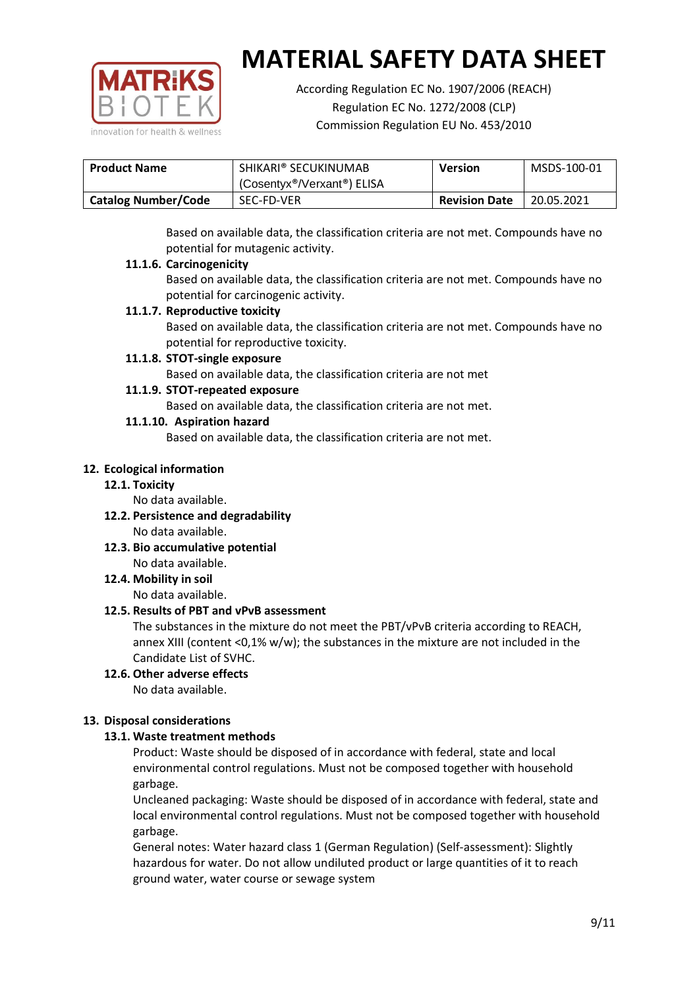

According Regulation EC No. 1907/2006 (REACH) Regulation EC No. 1272/2008 (CLP) Commission Regulation EU No. 453/2010

| <b>Product Name</b>        | SHIKARI® SECUKINUMAB                                 | <b>Version</b>       | MSDS-100-01 |
|----------------------------|------------------------------------------------------|----------------------|-------------|
|                            | (Cosentyx <sup>®</sup> /Verxant <sup>®</sup> ) ELISA |                      |             |
| <b>Catalog Number/Code</b> | SEC-FD-VER                                           | <b>Revision Date</b> | 20.05.2021  |

Based on available data, the classification criteria are not met. Compounds have no potential for mutagenic activity.

## **11.1.6. Carcinogenicity**

Based on available data, the classification criteria are not met. Compounds have no potential for carcinogenic activity.

## **11.1.7. Reproductive toxicity**

Based on available data, the classification criteria are not met. Compounds have no potential for reproductive toxicity.

## **11.1.8. STOT-single exposure**

Based on available data, the classification criteria are not met

### **11.1.9. STOT-repeated exposure**

Based on available data, the classification criteria are not met.

### **11.1.10. Aspiration hazard**

Based on available data, the classification criteria are not met.

### **12. Ecological information**

#### **12.1. Toxicity**

No data available.

- **12.2. Persistence and degradability** No data available.
- **12.3. Bio accumulative potential** No data available.

**12.4. Mobility in soil**

No data available.

## **12.5. Results of PBT and vPvB assessment**

The substances in the mixture do not meet the PBT/vPvB criteria according to REACH, annex XIII (content <0,1% w/w); the substances in the mixture are not included in the Candidate List of SVHC.

#### **12.6. Other adverse effects** No data available.

## **13. Disposal considerations**

## **13.1. Waste treatment methods**

Product: Waste should be disposed of in accordance with federal, state and local environmental control regulations. Must not be composed together with household garbage.

Uncleaned packaging: Waste should be disposed of in accordance with federal, state and local environmental control regulations. Must not be composed together with household garbage.

General notes: Water hazard class 1 (German Regulation) (Self-assessment): Slightly hazardous for water. Do not allow undiluted product or large quantities of it to reach ground water, water course or sewage system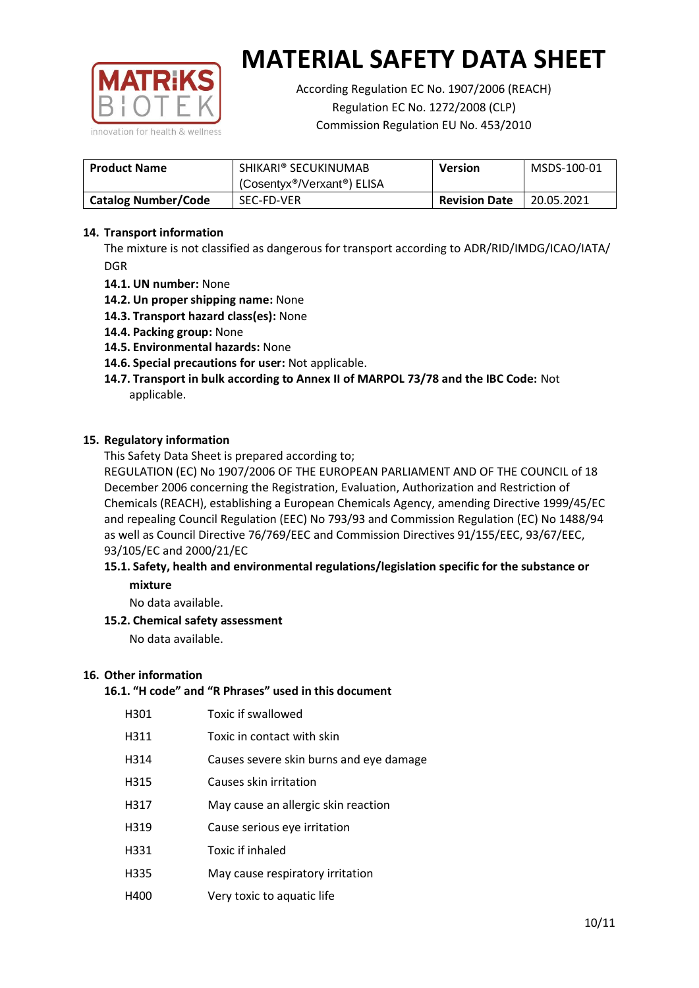

According Regulation EC No. 1907/2006 (REACH) Regulation EC No. 1272/2008 (CLP) Commission Regulation EU No. 453/2010

| <b>Product Name</b>        | SHIKARI® SECUKINUMAB<br>(Cosentyx <sup>®</sup> /Verxant <sup>®</sup> ) ELISA | <b>Version</b> | MSDS-100-01 |
|----------------------------|------------------------------------------------------------------------------|----------------|-------------|
| <b>Catalog Number/Code</b> | SEC-FD-VER<br><b>Revision Date</b>                                           |                | 20.05.2021  |

### **14. Transport information**

The mixture is not classified as dangerous for transport according to ADR/RID/IMDG/ICAO/IATA/ DGR

- **14.1. UN number:** None
- **14.2. Un proper shipping name:** None
- **14.3. Transport hazard class(es):** None
- **14.4. Packing group:** None
- **14.5. Environmental hazards:** None
- **14.6. Special precautions for user:** Not applicable.
- **14.7. Transport in bulk according to Annex II of MARPOL 73/78 and the IBC Code:** Not applicable.

#### **15. Regulatory information**

This Safety Data Sheet is prepared according to;

REGULATION (EC) No 1907/2006 OF THE EUROPEAN PARLIAMENT AND OF THE COUNCIL of 18 December 2006 concerning the Registration, Evaluation, Authorization and Restriction of Chemicals (REACH), establishing a European Chemicals Agency, amending Directive 1999/45/EC and repealing Council Regulation (EEC) No 793/93 and Commission Regulation (EC) No 1488/94 as well as Council Directive 76/769/EEC and Commission Directives 91/155/EEC, 93/67/EEC, 93/105/EC and 2000/21/EC

### **15.1. Safety, health and environmental regulations/legislation specific for the substance or mixture**

No data available.

#### **15.2. Chemical safety assessment**

No data available.

#### **16. Other information**

## **16.1. "H code" and "R Phrases" used in this document**

| H301 | Toxic if swallowed |
|------|--------------------|
|      |                    |

- H311 Toxic in contact with skin
- H314 Causes severe skin burns and eye damage
- H315 Causes skin irritation
- H317 May cause an allergic skin reaction
- H319 Cause serious eye irritation
- H331 Toxic if inhaled
- H335 May cause respiratory irritation
- H400 Very toxic to aquatic life